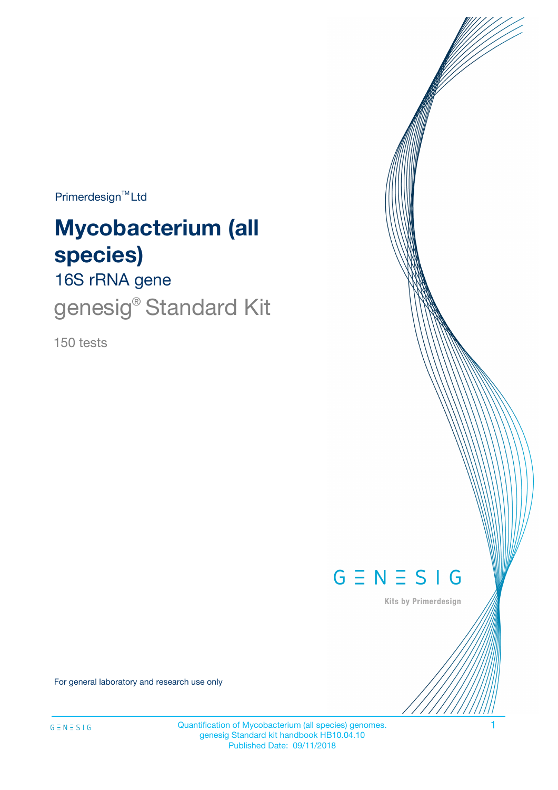Primerdesign<sup>™</sup>Ltd

# **Mycobacterium (all species)**

16S rRNA gene

genesig<sup>®</sup> Standard Kit

150 tests



Kits by Primerdesign

For general laboratory and research use only

Quantification of Mycobacterium (all species) genomes. 1 genesig Standard kit handbook HB10.04.10 Published Date: 09/11/2018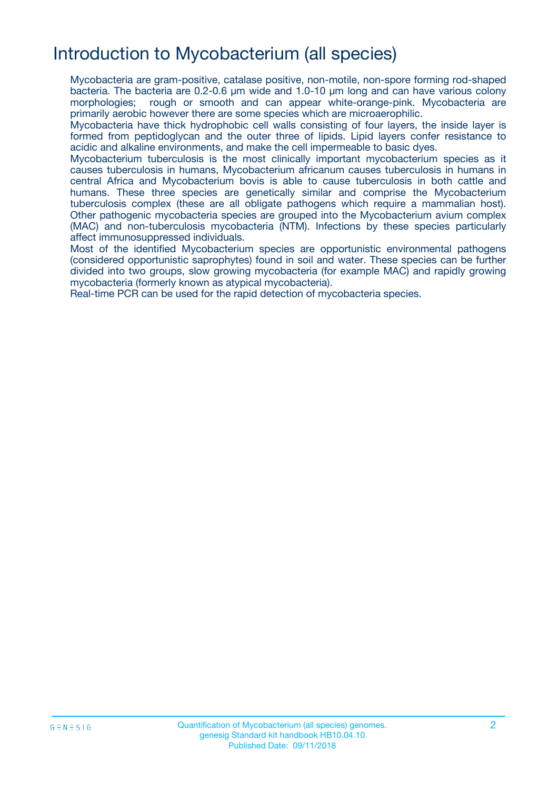### Introduction to Mycobacterium (all species)

Mycobacteria are gram-positive, catalase positive, non-motile, non-spore forming rod-shaped bacteria. The bacteria are 0.2-0.6 µm wide and 1.0-10 µm long and can have various colony morphologies; rough or smooth and can appear white-orange-pink. Mycobacteria are primarily aerobic however there are some species which are microaerophilic.

Mycobacteria have thick hydrophobic cell walls consisting of four layers, the inside layer is formed from peptidoglycan and the outer three of lipids. Lipid layers confer resistance to acidic and alkaline environments, and make the cell impermeable to basic dyes.

Mycobacterium tuberculosis is the most clinically important mycobacterium species as it causes tuberculosis in humans, Mycobacterium africanum causes tuberculosis in humans in central Africa and Mycobacterium bovis is able to cause tuberculosis in both cattle and humans. These three species are genetically similar and comprise the Mycobacterium tuberculosis complex (these are all obligate pathogens which require a mammalian host). Other pathogenic mycobacteria species are grouped into the Mycobacterium avium complex (MAC) and non-tuberculosis mycobacteria (NTM). Infections by these species particularly affect immunosuppressed individuals.

Most of the identified Mycobacterium species are opportunistic environmental pathogens (considered opportunistic saprophytes) found in soil and water. These species can be further divided into two groups, slow growing mycobacteria (for example MAC) and rapidly growing mycobacteria (formerly known as atypical mycobacteria).

Real-time PCR can be used for the rapid detection of mycobacteria species.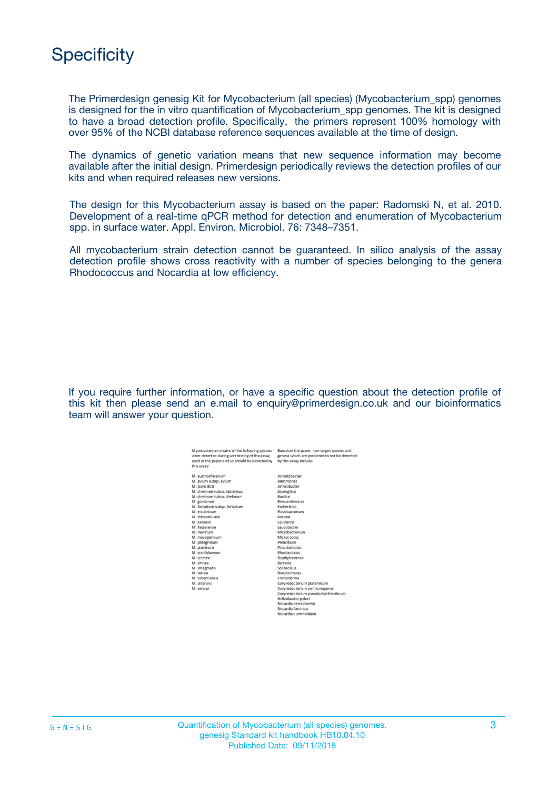# **Specificity**

The Primerdesign genesig Kit for Mycobacterium (all species) (Mycobacterium\_spp) genomes is designed for the in vitro quantification of Mycobacterium\_spp genomes. The kit is designed to have a broad detection profile. Specifically, the primers represent 100% homology with over 95% of the NCBI database reference sequences available at the time of design.

The dynamics of genetic variation means that new sequence information may become available after the initial design. Primerdesign periodically reviews the detection profiles of our kits and when required releases new versions.

The design for this Mycobacterium assay is based on the paper: Radomski N, et al. 2010. Development of a real-time qPCR method for detection and enumeration of Mycobacterium spp. in surface water. Appl. Environ. Microbiol. 76: 7348–7351.

All mycobacterium strain detection cannot be guaranteed. In silico analysis of the assay detection profile shows cross reactivity with a number of species belonging to the genera Rhodococcus and Nocardia at low efficiency.

If you require further information, or have a specific question about the detection profile of this kit then please send an e.mail to enquiry@primerdesign.co.uk and our bioinformatics team will answer your question.

| Mycobacterium strains of the following species<br>vere detected during wet testing of the assay | Based on the paper, non-target species and<br>genera which are predicted to not be detected |
|-------------------------------------------------------------------------------------------------|---------------------------------------------------------------------------------------------|
| used in the paper and so should be detected by                                                  | by this assay include:                                                                      |
| his assay:                                                                                      |                                                                                             |
| M. austroafricanum                                                                              | Acinetobacter                                                                               |
| M. avium subso, avium                                                                           | Aeromonas                                                                                   |
| <b>M.</b> boyis BCG                                                                             | Arthrobacter                                                                                |
| VI. chelonae subsp. abscessus                                                                   | Aspergillus                                                                                 |
| VI. chelonae subsp. chelonae                                                                    | <b>Bacillus</b>                                                                             |
| M. gordonae                                                                                     | <b>Rrevundimonas</b>                                                                        |
| VI. fortuitum subsp. fortuitum                                                                  | Escherishia                                                                                 |
| M. insubricum                                                                                   | Flavobacterium                                                                              |
| M. intracellulare                                                                               | Kocuria                                                                                     |
| M. kansasii                                                                                     | Leuclercia                                                                                  |
| M. llatzerense                                                                                  | Leucobacter                                                                                 |
| M. marinum                                                                                      | Microbacterium                                                                              |
| M. mucogenicum                                                                                  | Micrococcus                                                                                 |
| M. peregrinum                                                                                   | Penicillium                                                                                 |
| M. porcinum                                                                                     | Pseudomonas                                                                                 |
| M. scrofulaceum                                                                                 | Rhodococcus                                                                                 |
| M. setense                                                                                      | Staphylococcus                                                                              |
| A. simiae                                                                                       | Serracia                                                                                    |
| M. smegmatis                                                                                    | Solibacillus                                                                                |
| M. terrae                                                                                       | Streptomyces                                                                                |
| M. tuberculosis                                                                                 | Trichoderma                                                                                 |
| M. ulcerans                                                                                     | Corynebacterium glutamicum                                                                  |
| M. xenopi                                                                                       | Corynebacterium ammoniagenes                                                                |
|                                                                                                 | Corynebacterium pseudodiphtheriticum                                                        |
|                                                                                                 | Helicobacter pylori                                                                         |
|                                                                                                 | Nocardia cerradoensis                                                                       |
|                                                                                                 | Nocardia farcinica                                                                          |
|                                                                                                 | Nocardia cummidelens                                                                        |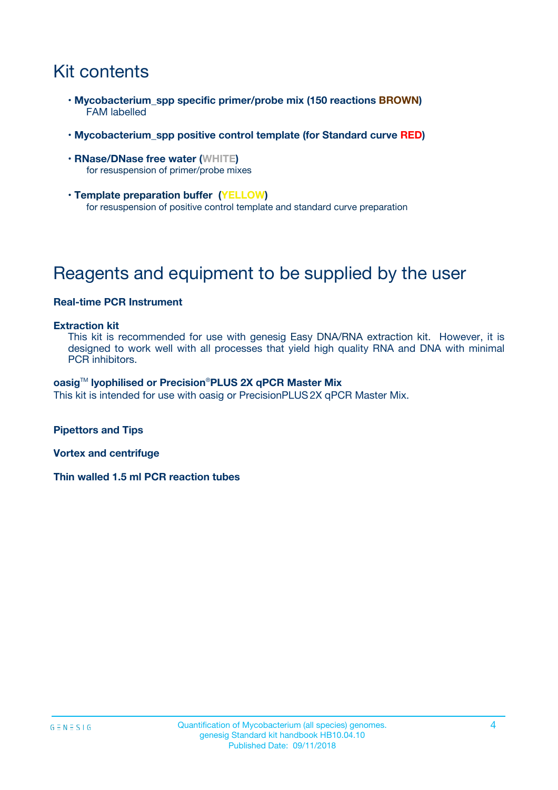# Kit contents

- **Mycobacterium\_spp specific primer/probe mix (150 reactions BROWN)** FAM labelled
- **Mycobacterium\_spp positive control template (for Standard curve RED)**
- **RNase/DNase free water (WHITE)** for resuspension of primer/probe mixes
- **Template preparation buffer (YELLOW)** for resuspension of positive control template and standard curve preparation

# Reagents and equipment to be supplied by the user

#### **Real-time PCR Instrument**

#### **Extraction kit**

This kit is recommended for use with genesig Easy DNA/RNA extraction kit. However, it is designed to work well with all processes that yield high quality RNA and DNA with minimal PCR inhibitors.

#### **oasig**TM **lyophilised or Precision**®**PLUS 2X qPCR Master Mix**

This kit is intended for use with oasig or PrecisionPLUS2X qPCR Master Mix.

**Pipettors and Tips**

**Vortex and centrifuge**

**Thin walled 1.5 ml PCR reaction tubes**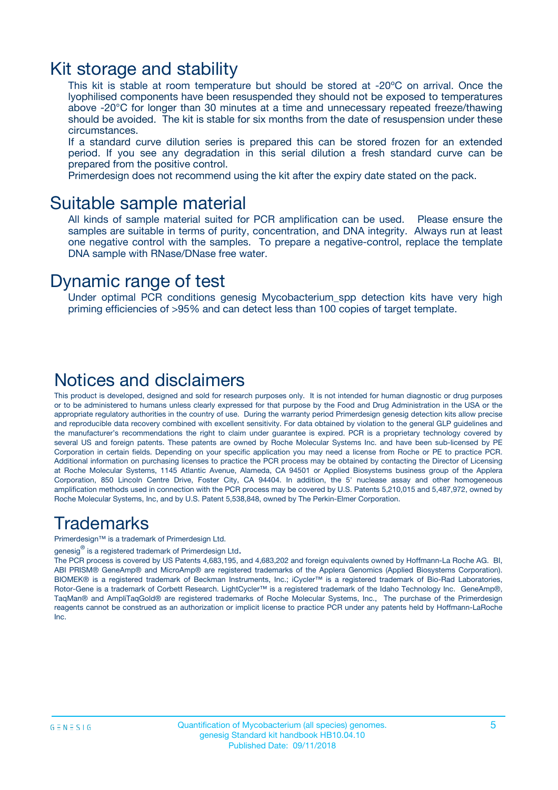### Kit storage and stability

This kit is stable at room temperature but should be stored at -20ºC on arrival. Once the lyophilised components have been resuspended they should not be exposed to temperatures above -20°C for longer than 30 minutes at a time and unnecessary repeated freeze/thawing should be avoided. The kit is stable for six months from the date of resuspension under these circumstances.

If a standard curve dilution series is prepared this can be stored frozen for an extended period. If you see any degradation in this serial dilution a fresh standard curve can be prepared from the positive control.

Primerdesign does not recommend using the kit after the expiry date stated on the pack.

### Suitable sample material

All kinds of sample material suited for PCR amplification can be used. Please ensure the samples are suitable in terms of purity, concentration, and DNA integrity. Always run at least one negative control with the samples. To prepare a negative-control, replace the template DNA sample with RNase/DNase free water.

### Dynamic range of test

Under optimal PCR conditions genesig Mycobacterium\_spp detection kits have very high priming efficiencies of >95% and can detect less than 100 copies of target template.

### Notices and disclaimers

This product is developed, designed and sold for research purposes only. It is not intended for human diagnostic or drug purposes or to be administered to humans unless clearly expressed for that purpose by the Food and Drug Administration in the USA or the appropriate regulatory authorities in the country of use. During the warranty period Primerdesign genesig detection kits allow precise and reproducible data recovery combined with excellent sensitivity. For data obtained by violation to the general GLP guidelines and the manufacturer's recommendations the right to claim under guarantee is expired. PCR is a proprietary technology covered by several US and foreign patents. These patents are owned by Roche Molecular Systems Inc. and have been sub-licensed by PE Corporation in certain fields. Depending on your specific application you may need a license from Roche or PE to practice PCR. Additional information on purchasing licenses to practice the PCR process may be obtained by contacting the Director of Licensing at Roche Molecular Systems, 1145 Atlantic Avenue, Alameda, CA 94501 or Applied Biosystems business group of the Applera Corporation, 850 Lincoln Centre Drive, Foster City, CA 94404. In addition, the 5' nuclease assay and other homogeneous amplification methods used in connection with the PCR process may be covered by U.S. Patents 5,210,015 and 5,487,972, owned by Roche Molecular Systems, Inc, and by U.S. Patent 5,538,848, owned by The Perkin-Elmer Corporation.

### Trademarks

Primerdesign™ is a trademark of Primerdesign Ltd.

genesig $^\circledR$  is a registered trademark of Primerdesign Ltd.

The PCR process is covered by US Patents 4,683,195, and 4,683,202 and foreign equivalents owned by Hoffmann-La Roche AG. BI, ABI PRISM® GeneAmp® and MicroAmp® are registered trademarks of the Applera Genomics (Applied Biosystems Corporation). BIOMEK® is a registered trademark of Beckman Instruments, Inc.; iCycler™ is a registered trademark of Bio-Rad Laboratories, Rotor-Gene is a trademark of Corbett Research. LightCycler™ is a registered trademark of the Idaho Technology Inc. GeneAmp®, TaqMan® and AmpliTaqGold® are registered trademarks of Roche Molecular Systems, Inc., The purchase of the Primerdesign reagents cannot be construed as an authorization or implicit license to practice PCR under any patents held by Hoffmann-LaRoche Inc.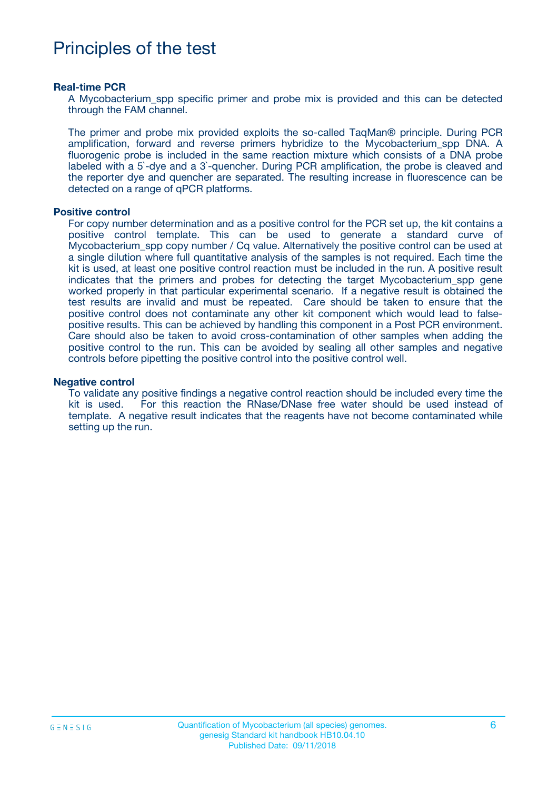# Principles of the test

#### **Real-time PCR**

A Mycobacterium spp specific primer and probe mix is provided and this can be detected through the FAM channel.

The primer and probe mix provided exploits the so-called TaqMan® principle. During PCR amplification, forward and reverse primers hybridize to the Mycobacterium\_spp DNA. A fluorogenic probe is included in the same reaction mixture which consists of a DNA probe labeled with a 5`-dye and a 3`-quencher. During PCR amplification, the probe is cleaved and the reporter dye and quencher are separated. The resulting increase in fluorescence can be detected on a range of qPCR platforms.

#### **Positive control**

For copy number determination and as a positive control for the PCR set up, the kit contains a positive control template. This can be used to generate a standard curve of Mycobacterium\_spp copy number / Cq value. Alternatively the positive control can be used at a single dilution where full quantitative analysis of the samples is not required. Each time the kit is used, at least one positive control reaction must be included in the run. A positive result indicates that the primers and probes for detecting the target Mycobacterium\_spp gene worked properly in that particular experimental scenario. If a negative result is obtained the test results are invalid and must be repeated. Care should be taken to ensure that the positive control does not contaminate any other kit component which would lead to falsepositive results. This can be achieved by handling this component in a Post PCR environment. Care should also be taken to avoid cross-contamination of other samples when adding the positive control to the run. This can be avoided by sealing all other samples and negative controls before pipetting the positive control into the positive control well.

#### **Negative control**

To validate any positive findings a negative control reaction should be included every time the kit is used. For this reaction the RNase/DNase free water should be used instead of template. A negative result indicates that the reagents have not become contaminated while setting up the run.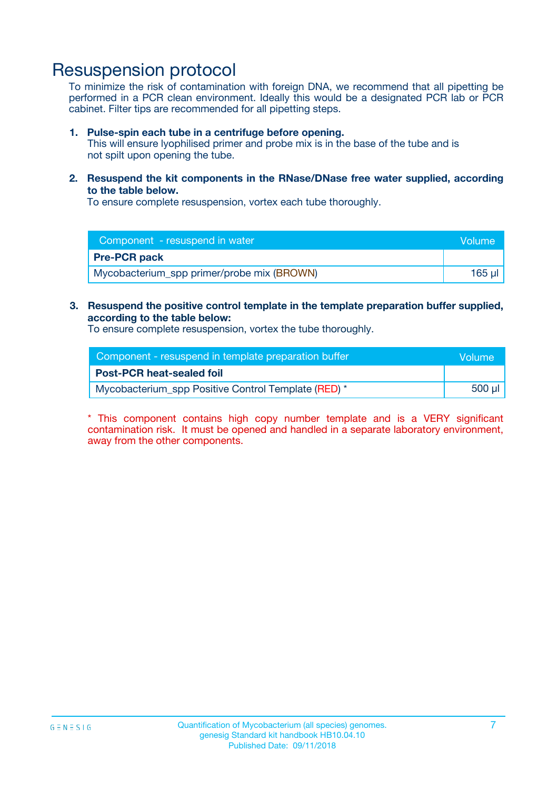### Resuspension protocol

To minimize the risk of contamination with foreign DNA, we recommend that all pipetting be performed in a PCR clean environment. Ideally this would be a designated PCR lab or PCR cabinet. Filter tips are recommended for all pipetting steps.

#### **1. Pulse-spin each tube in a centrifuge before opening.**

This will ensure lyophilised primer and probe mix is in the base of the tube and is not spilt upon opening the tube.

**2. Resuspend the kit components in the RNase/DNase free water supplied, according to the table below.**

To ensure complete resuspension, vortex each tube thoroughly.

| Component - resuspend in water             |          |
|--------------------------------------------|----------|
| <b>Pre-PCR pack</b>                        |          |
| Mycobacterium_spp primer/probe mix (BROWN) | 165 ul l |

#### **3. Resuspend the positive control template in the template preparation buffer supplied, according to the table below:**

To ensure complete resuspension, vortex the tube thoroughly.

| Component - resuspend in template preparation buffer | Volume |
|------------------------------------------------------|--------|
| <b>Post-PCR heat-sealed foil</b>                     |        |
| Mycobacterium_spp Positive Control Template (RED) *  |        |

\* This component contains high copy number template and is a VERY significant contamination risk. It must be opened and handled in a separate laboratory environment, away from the other components.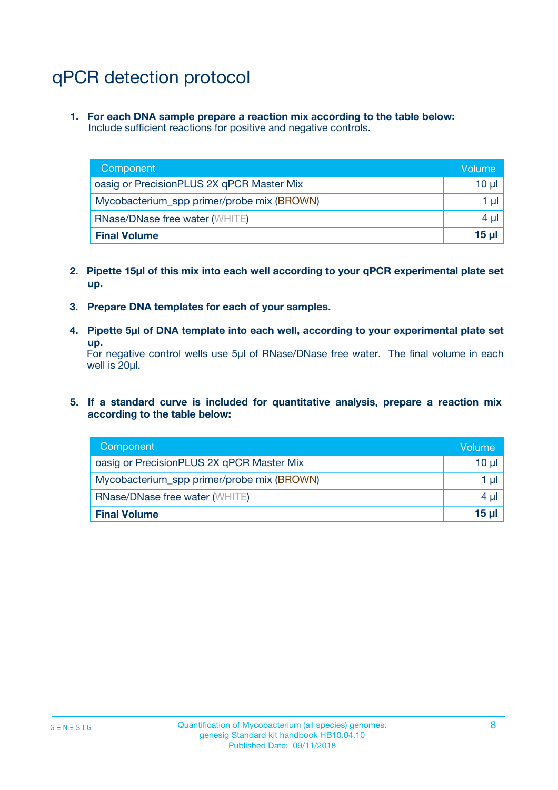# qPCR detection protocol

**1. For each DNA sample prepare a reaction mix according to the table below:** Include sufficient reactions for positive and negative controls.

| Component                                  | Volume   |
|--------------------------------------------|----------|
| oasig or PrecisionPLUS 2X qPCR Master Mix  | $10 \mu$ |
| Mycobacterium_spp primer/probe mix (BROWN) |          |
| <b>RNase/DNase free water (WHITE)</b>      |          |
| <b>Final Volume</b>                        |          |

- **2. Pipette 15µl of this mix into each well according to your qPCR experimental plate set up.**
- **3. Prepare DNA templates for each of your samples.**
- **4. Pipette 5µl of DNA template into each well, according to your experimental plate set up.**

For negative control wells use 5µl of RNase/DNase free water. The final volume in each well is 20µl.

**5. If a standard curve is included for quantitative analysis, prepare a reaction mix according to the table below:**

| Component                                  | Volume |
|--------------------------------------------|--------|
| oasig or PrecisionPLUS 2X qPCR Master Mix  | 10 µl  |
| Mycobacterium_spp primer/probe mix (BROWN) |        |
| <b>RNase/DNase free water (WHITE)</b>      |        |
| <b>Final Volume</b>                        |        |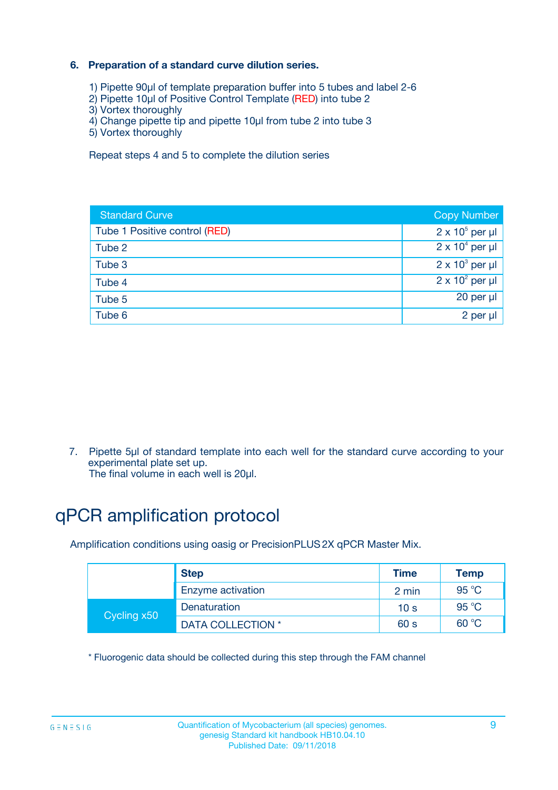### **6. Preparation of a standard curve dilution series.**

- 1) Pipette 90µl of template preparation buffer into 5 tubes and label 2-6
- 2) Pipette 10µl of Positive Control Template (RED) into tube 2
- 3) Vortex thoroughly
- 4) Change pipette tip and pipette 10µl from tube 2 into tube 3
- 5) Vortex thoroughly

Repeat steps 4 and 5 to complete the dilution series

| <b>Standard Curve</b>         | <b>Copy Number</b>     |
|-------------------------------|------------------------|
| Tube 1 Positive control (RED) | $2 \times 10^5$ per µl |
| Tube 2                        | $2 \times 10^4$ per µl |
| Tube 3                        | $2 \times 10^3$ per µl |
| Tube 4                        | $2 \times 10^2$ per µl |
| Tube 5                        | 20 per µl              |
| Tube 6                        | 2 per ul               |

7. Pipette 5µl of standard template into each well for the standard curve according to your experimental plate set up.

The final volume in each well is 20µl.

# qPCR amplification protocol

Amplification conditions using oasig or PrecisionPLUS2X qPCR Master Mix.

|             | <b>Step</b>       | <b>Time</b>     | Temp    |
|-------------|-------------------|-----------------|---------|
|             | Enzyme activation | 2 min           | 95 °C   |
| Cycling x50 | Denaturation      | 10 <sub>s</sub> | 95 $°C$ |
|             | DATA COLLECTION * | 60 s            | 60 °C   |

\* Fluorogenic data should be collected during this step through the FAM channel